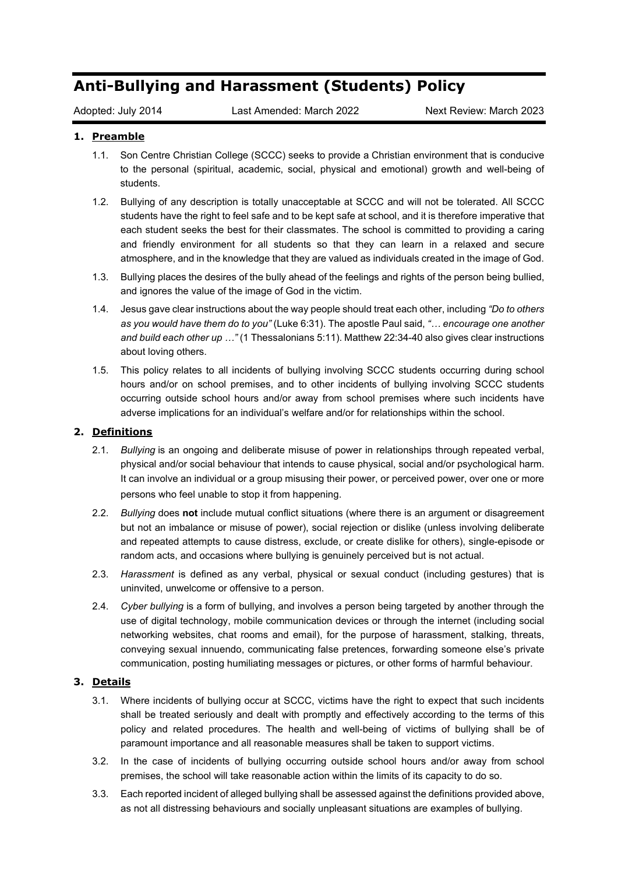# **Anti-Bullying and Harassment (Students) Policy**

Adopted: July 2014 Last Amended: March 2022 Next Review: March 2023

## **1. Preamble**

- 1.1. Son Centre Christian College (SCCC) seeks to provide a Christian environment that is conducive to the personal (spiritual, academic, social, physical and emotional) growth and well-being of students.
- 1.2. Bullying of any description is totally unacceptable at SCCC and will not be tolerated. All SCCC students have the right to feel safe and to be kept safe at school, and it is therefore imperative that each student seeks the best for their classmates. The school is committed to providing a caring and friendly environment for all students so that they can learn in a relaxed and secure atmosphere, and in the knowledge that they are valued as individuals created in the image of God.
- 1.3. Bullying places the desires of the bully ahead of the feelings and rights of the person being bullied, and ignores the value of the image of God in the victim.
- 1.4. Jesus gave clear instructions about the way people should treat each other, including *"Do to others as you would have them do to you"* (Luke 6:31). The apostle Paul said, *"… encourage one another and build each other up …"* (1 Thessalonians 5:11). Matthew 22:34-40 also gives clear instructions about loving others.
- 1.5. This policy relates to all incidents of bullying involving SCCC students occurring during school hours and/or on school premises, and to other incidents of bullying involving SCCC students occurring outside school hours and/or away from school premises where such incidents have adverse implications for an individual's welfare and/or for relationships within the school.

### **2. Definitions**

- 2.1. *Bullying* is an ongoing and deliberate misuse of power in relationships through repeated verbal, physical and/or social behaviour that intends to cause physical, social and/or psychological harm. It can involve an individual or a group misusing their power, or perceived power, over one or more persons who feel unable to stop it from happening.
- 2.2. *Bullying* does **not** include mutual conflict situations (where there is an argument or disagreement but not an imbalance or misuse of power), social rejection or dislike (unless involving deliberate and repeated attempts to cause distress, exclude, or create dislike for others), single-episode or random acts, and occasions where bullying is genuinely perceived but is not actual.
- 2.3. *Harassment* is defined as any verbal, physical or sexual conduct (including gestures) that is uninvited, unwelcome or offensive to a person.
- 2.4. *Cyber bullying* is a form of bullying, and involves a person being targeted by another through the use of digital technology, mobile communication devices or through the internet (including social networking websites, chat rooms and email), for the purpose of harassment, stalking, threats, conveying sexual innuendo, communicating false pretences, forwarding someone else's private communication, posting humiliating messages or pictures, or other forms of harmful behaviour.

## **3. Details**

- 3.1. Where incidents of bullying occur at SCCC, victims have the right to expect that such incidents shall be treated seriously and dealt with promptly and effectively according to the terms of this policy and related procedures. The health and well-being of victims of bullying shall be of paramount importance and all reasonable measures shall be taken to support victims.
- 3.2. In the case of incidents of bullying occurring outside school hours and/or away from school premises, the school will take reasonable action within the limits of its capacity to do so.
- 3.3. Each reported incident of alleged bullying shall be assessed against the definitions provided above, as not all distressing behaviours and socially unpleasant situations are examples of bullying.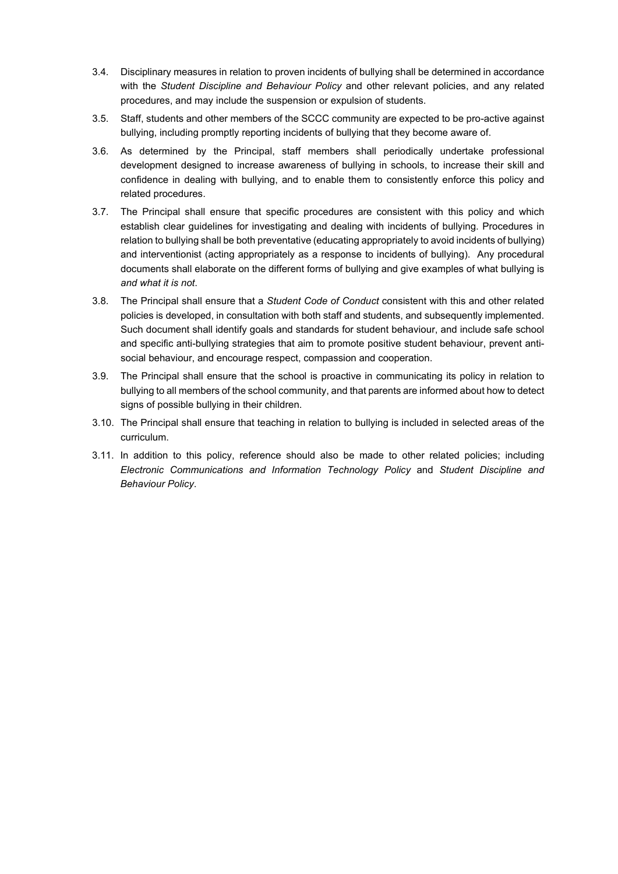- 3.4. Disciplinary measures in relation to proven incidents of bullying shall be determined in accordance with the *Student Discipline and Behaviour Policy* and other relevant policies, and any related procedures, and may include the suspension or expulsion of students.
- 3.5. Staff, students and other members of the SCCC community are expected to be pro-active against bullying, including promptly reporting incidents of bullying that they become aware of.
- 3.6. As determined by the Principal, staff members shall periodically undertake professional development designed to increase awareness of bullying in schools, to increase their skill and confidence in dealing with bullying, and to enable them to consistently enforce this policy and related procedures.
- 3.7. The Principal shall ensure that specific procedures are consistent with this policy and which establish clear guidelines for investigating and dealing with incidents of bullying. Procedures in relation to bullying shall be both preventative (educating appropriately to avoid incidents of bullying) and interventionist (acting appropriately as a response to incidents of bullying). Any procedural documents shall elaborate on the different forms of bullying and give examples of what bullying is *and what it is not*.
- 3.8. The Principal shall ensure that a *Student Code of Conduct* consistent with this and other related policies is developed, in consultation with both staff and students, and subsequently implemented. Such document shall identify goals and standards for student behaviour, and include safe school and specific anti-bullying strategies that aim to promote positive student behaviour, prevent antisocial behaviour, and encourage respect, compassion and cooperation.
- 3.9. The Principal shall ensure that the school is proactive in communicating its policy in relation to bullying to all members of the school community, and that parents are informed about how to detect signs of possible bullying in their children.
- 3.10. The Principal shall ensure that teaching in relation to bullying is included in selected areas of the curriculum.
- 3.11. In addition to this policy, reference should also be made to other related policies; including *Electronic Communications and Information Technology Policy* and *Student Discipline and Behaviour Policy*.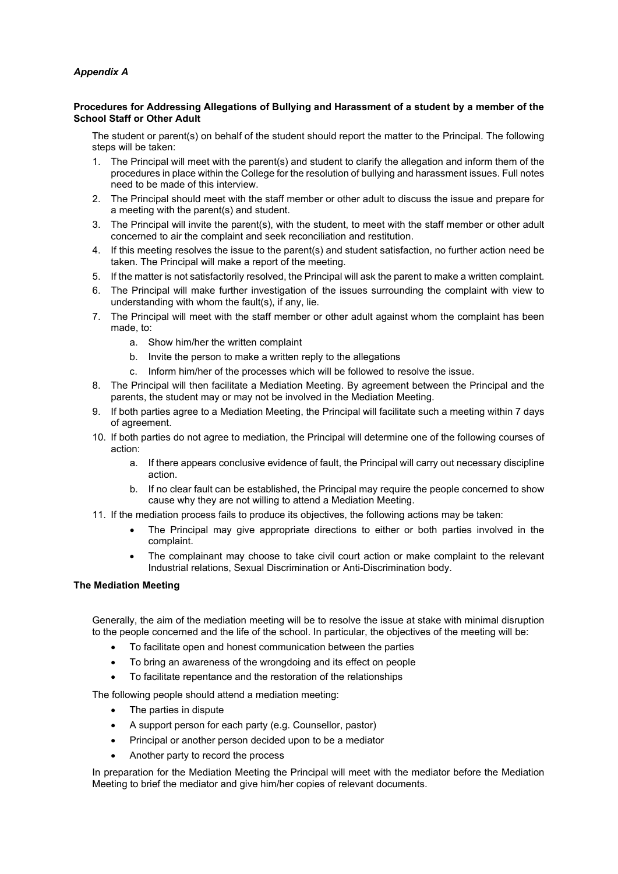### *Appendix A*

#### **Procedures for Addressing Allegations of Bullying and Harassment of a student by a member of the School Staff or Other Adult**

The student or parent(s) on behalf of the student should report the matter to the Principal. The following steps will be taken:

- 1. The Principal will meet with the parent(s) and student to clarify the allegation and inform them of the procedures in place within the College for the resolution of bullying and harassment issues. Full notes need to be made of this interview.
- 2. The Principal should meet with the staff member or other adult to discuss the issue and prepare for a meeting with the parent(s) and student.
- 3. The Principal will invite the parent(s), with the student, to meet with the staff member or other adult concerned to air the complaint and seek reconciliation and restitution.
- 4. If this meeting resolves the issue to the parent(s) and student satisfaction, no further action need be taken. The Principal will make a report of the meeting.
- 5. If the matter is not satisfactorily resolved, the Principal will ask the parent to make a written complaint.
- 6. The Principal will make further investigation of the issues surrounding the complaint with view to understanding with whom the fault(s), if any, lie.
- 7. The Principal will meet with the staff member or other adult against whom the complaint has been made, to:
	- a. Show him/her the written complaint
	- b. Invite the person to make a written reply to the allegations
	- c. Inform him/her of the processes which will be followed to resolve the issue.
- 8. The Principal will then facilitate a Mediation Meeting. By agreement between the Principal and the parents, the student may or may not be involved in the Mediation Meeting.
- 9. If both parties agree to a Mediation Meeting, the Principal will facilitate such a meeting within 7 days of agreement.
- 10. If both parties do not agree to mediation, the Principal will determine one of the following courses of action:
	- a. If there appears conclusive evidence of fault, the Principal will carry out necessary discipline action.
	- b. If no clear fault can be established, the Principal may require the people concerned to show cause why they are not willing to attend a Mediation Meeting.
- 11. If the mediation process fails to produce its objectives, the following actions may be taken:
	- The Principal may give appropriate directions to either or both parties involved in the complaint.
	- The complainant may choose to take civil court action or make complaint to the relevant Industrial relations, Sexual Discrimination or Anti-Discrimination body.

#### **The Mediation Meeting**

Generally, the aim of the mediation meeting will be to resolve the issue at stake with minimal disruption to the people concerned and the life of the school. In particular, the objectives of the meeting will be:

- To facilitate open and honest communication between the parties
- To bring an awareness of the wrongdoing and its effect on people
- To facilitate repentance and the restoration of the relationships

The following people should attend a mediation meeting:

- The parties in dispute
- A support person for each party (e.g. Counsellor, pastor)
- Principal or another person decided upon to be a mediator
- Another party to record the process

In preparation for the Mediation Meeting the Principal will meet with the mediator before the Mediation Meeting to brief the mediator and give him/her copies of relevant documents.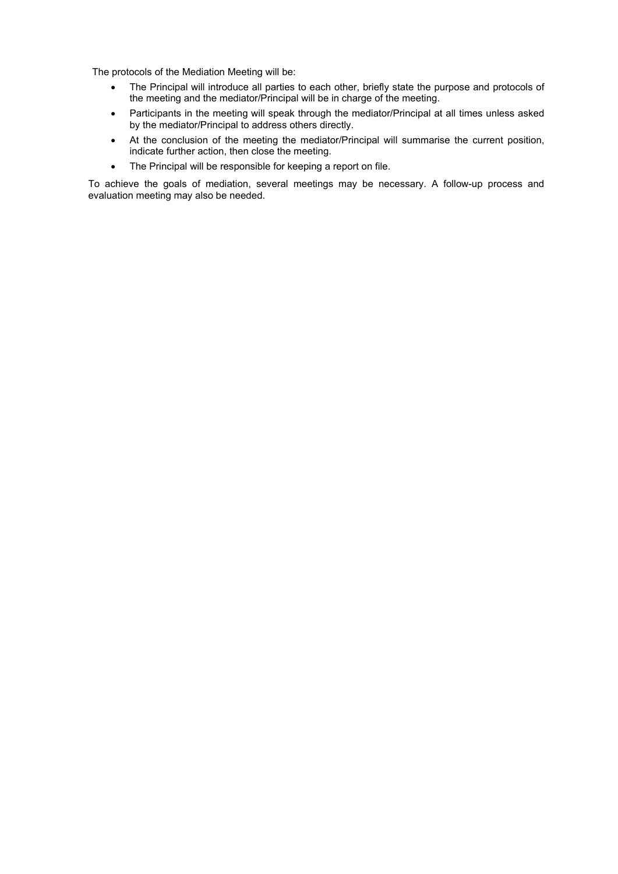The protocols of the Mediation Meeting will be:

- The Principal will introduce all parties to each other, briefly state the purpose and protocols of the meeting and the mediator/Principal will be in charge of the meeting.
- Participants in the meeting will speak through the mediator/Principal at all times unless asked by the mediator/Principal to address others directly.
- At the conclusion of the meeting the mediator/Principal will summarise the current position, indicate further action, then close the meeting.
- The Principal will be responsible for keeping a report on file.

To achieve the goals of mediation, several meetings may be necessary. A follow-up process and evaluation meeting may also be needed.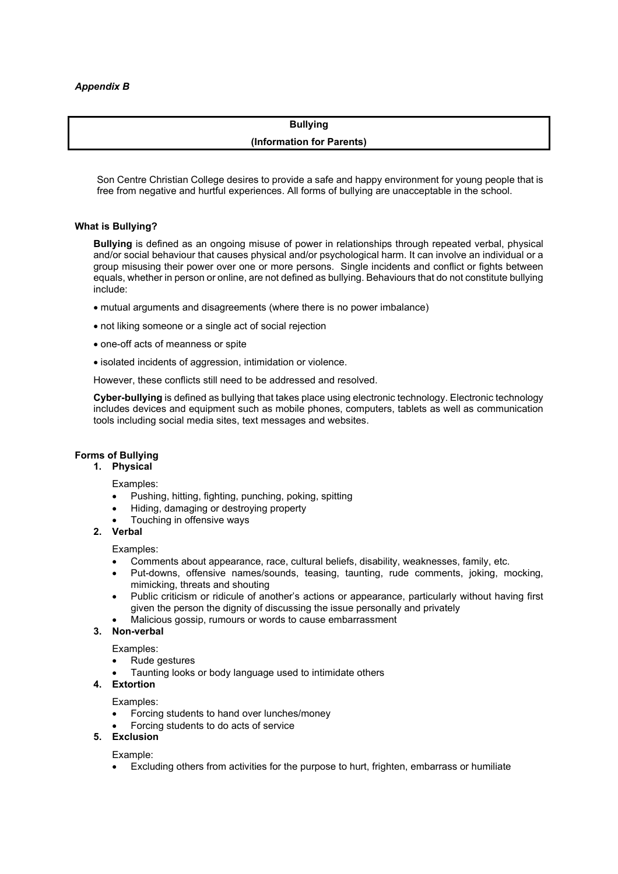# **Bullying**

**(Information for Parents)**

Son Centre Christian College desires to provide a safe and happy environment for young people that is free from negative and hurtful experiences. All forms of bullying are unacceptable in the school.

#### **What is Bullying?**

**Bullying** is defined as an ongoing misuse of power in relationships through repeated verbal, physical and/or social behaviour that causes physical and/or psychological harm. It can involve an individual or a group misusing their power over one or more persons. Single incidents and conflict or fights between equals, whether in person or online, are not defined as bullying. Behaviours that do not constitute bullying include:

- mutual arguments and disagreements (where there is no power imbalance)
- not liking someone or a single act of social rejection
- one-off acts of meanness or spite
- isolated incidents of aggression, intimidation or violence.

However, these conflicts still need to be addressed and resolved.

**Cyber-bullying** is defined as bullying that takes place using electronic technology. Electronic technology includes devices and equipment such as mobile phones, computers, tablets as well as communication tools including social media sites, text messages and websites.

#### **Forms of Bullying**

#### **1. Physical**

Examples:

- Pushing, hitting, fighting, punching, poking, spitting
- Hiding, damaging or destroying property
- Touching in offensive ways
- **2. Verbal**

Examples:

- Comments about appearance, race, cultural beliefs, disability, weaknesses, family, etc.
- Put-downs, offensive names/sounds, teasing, taunting, rude comments, joking, mocking, mimicking, threats and shouting
- Public criticism or ridicule of another's actions or appearance, particularly without having first given the person the dignity of discussing the issue personally and privately
- Malicious gossip, rumours or words to cause embarrassment

# **3. Non-verbal**

Examples:

- Rude gestures
- Taunting looks or body language used to intimidate others

#### **4. Extortion**

Examples:

- Forcing students to hand over lunches/money
- Forcing students to do acts of service
- **5. Exclusion**

# Example:

• Excluding others from activities for the purpose to hurt, frighten, embarrass or humiliate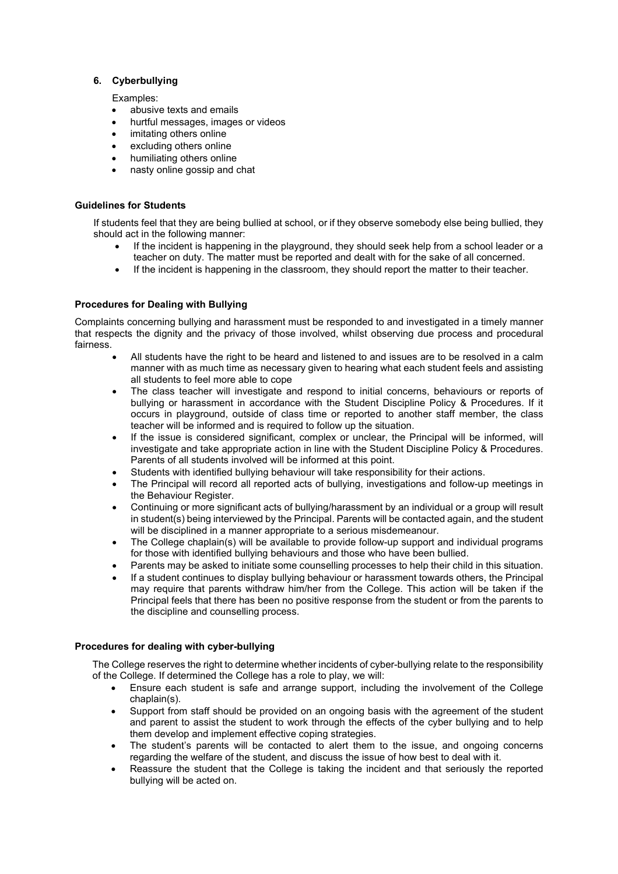#### **6. Cyberbullying**

Examples:

- abusive texts and emails
- hurtful messages, images or videos
- imitating others online
- excluding others online
- humiliating others online
- nasty online gossip and chat

#### **Guidelines for Students**

If students feel that they are being bullied at school, or if they observe somebody else being bullied, they should act in the following manner:

- If the incident is happening in the playground, they should seek help from a school leader or a teacher on duty. The matter must be reported and dealt with for the sake of all concerned.
- If the incident is happening in the classroom, they should report the matter to their teacher.

#### **Procedures for Dealing with Bullying**

Complaints concerning bullying and harassment must be responded to and investigated in a timely manner that respects the dignity and the privacy of those involved, whilst observing due process and procedural fairness.

- All students have the right to be heard and listened to and issues are to be resolved in a calm manner with as much time as necessary given to hearing what each student feels and assisting all students to feel more able to cope
- The class teacher will investigate and respond to initial concerns, behaviours or reports of bullying or harassment in accordance with the Student Discipline Policy & Procedures. If it occurs in playground, outside of class time or reported to another staff member, the class teacher will be informed and is required to follow up the situation.
- If the issue is considered significant, complex or unclear, the Principal will be informed, will investigate and take appropriate action in line with the Student Discipline Policy & Procedures. Parents of all students involved will be informed at this point.
- Students with identified bullying behaviour will take responsibility for their actions.
- The Principal will record all reported acts of bullying, investigations and follow-up meetings in the Behaviour Register.
- Continuing or more significant acts of bullying/harassment by an individual or a group will result in student(s) being interviewed by the Principal. Parents will be contacted again, and the student will be disciplined in a manner appropriate to a serious misdemeanour.
- The College chaplain(s) will be available to provide follow-up support and individual programs for those with identified bullying behaviours and those who have been bullied.
- Parents may be asked to initiate some counselling processes to help their child in this situation.
- If a student continues to display bullying behaviour or harassment towards others, the Principal may require that parents withdraw him/her from the College. This action will be taken if the Principal feels that there has been no positive response from the student or from the parents to the discipline and counselling process.

#### **Procedures for dealing with cyber-bullying**

The College reserves the right to determine whether incidents of cyber-bullying relate to the responsibility of the College. If determined the College has a role to play, we will:

- Ensure each student is safe and arrange support, including the involvement of the College chaplain(s).
- Support from staff should be provided on an ongoing basis with the agreement of the student and parent to assist the student to work through the effects of the cyber bullying and to help them develop and implement effective coping strategies.
- The student's parents will be contacted to alert them to the issue, and ongoing concerns regarding the welfare of the student, and discuss the issue of how best to deal with it.
- Reassure the student that the College is taking the incident and that seriously the reported bullying will be acted on.